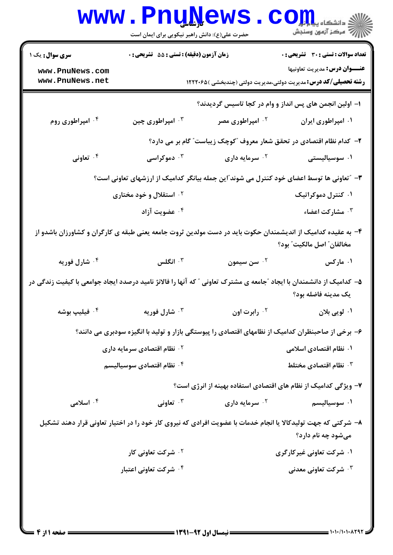|                                                                                                                                             | <b>www.PnuNews</b><br>حضرت علی(ع): دانش راهبر نیکویی برای ایمان است                                |                                                                       | الله دانشگاه پیام او <mark>ر (</mark><br>الله مرکز آزمون وسنجش                                                 |  |  |
|---------------------------------------------------------------------------------------------------------------------------------------------|----------------------------------------------------------------------------------------------------|-----------------------------------------------------------------------|----------------------------------------------------------------------------------------------------------------|--|--|
| <b>سری سوال :</b> یک ۱                                                                                                                      | زمان آزمون (دقیقه) : تستی : 55 آتشریحی : 0                                                         |                                                                       | <b>تعداد سوالات : تستی : 30 ٪ تشریحی : 0</b>                                                                   |  |  |
| www.PnuNews.com<br>www.PnuNews.net                                                                                                          |                                                                                                    |                                                                       | <b>عنـــوان درس:</b> مديريت تعاونيها<br><b>رشته تحصیلی/کد درس:</b> مدیریت دولتی،مدیریت دولتی (چندبخشی )۱۲۲۲۰۶۵ |  |  |
|                                                                                                                                             |                                                                                                    | ۱– اولین انجمن های پس انداز و وام در کجا تاسیس گردیدند؟               |                                                                                                                |  |  |
| ۰۴ امپراطوری روم                                                                                                                            | ۰۳ امپراطوری چین                                                                                   | ۰۲ امپراطوری مصر                                                      | ۰۱ امپراطوری ایران                                                                                             |  |  |
|                                                                                                                                             |                                                                                                    | ۲- کدام نظام اقتصادی در تحقق شعار معروف "کوچک زیباست" گام بر می دارد؟ |                                                                                                                |  |  |
| ۰۴ تعاونی                                                                                                                                   | ۰ <sup>۳</sup> دموکراسی                                                                            | ۰۲ سرمایه داری                                                        | ۰۱ سوسیالیستی                                                                                                  |  |  |
|                                                                                                                                             | ۳- "تعاونی ها توسط اعضای خود کنترل می شوند"این جمله بیانگر کدامیک از ارزشهای تعاونی است؟           |                                                                       |                                                                                                                |  |  |
|                                                                                                                                             | <sup>۲</sup> ۰ استقلال و خود مختاری                                                                |                                                                       | ۰۱ کنترل دموکراتیک                                                                                             |  |  |
|                                                                                                                                             | ۰۴ عضویت آزاد                                                                                      |                                                                       | ۰۳ مشارکت اعضاء                                                                                                |  |  |
| ۴– به عقیده کدامیک از اندیشمندان حکوت باید در دست مولدین ثروت جامعه یعنی طبقه ی کارگران و کشاورزان باشدو از<br>مخالفان" اصل مالكيت" بود؟    |                                                                                                    |                                                                       |                                                                                                                |  |  |
| ۰۴ شارل فور <b>یه</b>                                                                                                                       | انگلس $\cdot$                                                                                      | ۰ <sup>۲</sup> سن سیمون                                               | ۰۱ مارکس                                                                                                       |  |  |
| ۵– کدامیک از دانشمندان با ایجاد ″جامعه ی مشترک تعاونی ″ که آنها را فالانژ نامید درصدد ایجاد جوامعی با کیفیت زندگی در<br>يک مدينه فاضله بود؟ |                                                                                                    |                                                                       |                                                                                                                |  |  |
| ۰ <sup>۴</sup> فیلیپ بوشه                                                                                                                   | شارل فوريه $\cdot$ "                                                                               | ۰ <sup>۲</sup> رابرت اون                                              | ۰۱ لویی بلان                                                                                                   |  |  |
|                                                                                                                                             | ۶– برخی از صاحبنظران کدامیک از نظامهای اقتصادی را پیوستگی بازار و تولید با انگیزه سودبری می دانند؟ |                                                                       |                                                                                                                |  |  |
|                                                                                                                                             | <b>10 نظام اقتصادی سرمایه داری</b>                                                                 |                                                                       | ۰۱ نظام اقتصادی اسلامی                                                                                         |  |  |
|                                                                                                                                             | ۰۴ نظام اقتصادی سوسیالیسم                                                                          |                                                                       | $\cdot$ نظام اقتصادی مختلط $\cdot$                                                                             |  |  |
|                                                                                                                                             |                                                                                                    | ۷– ویژگی کدامیک از نظام های اقتصادی استفاده بهینه از انرژی است؟       |                                                                                                                |  |  |
| ۰۴ اسلامی                                                                                                                                   | تعاونی $\cdot$                                                                                     | <sup>۲.</sup> سرمایه داری                                             | ۰۱ سوسیالیسم                                                                                                   |  |  |
| ۸– شرکتی که جهت تولیدکالا یا انجام خدمات با عضویت افرادی که نیروی کار خود را در اختیار تعاونی قرار دهند تشکیل<br>میشود چه نام دارد؟         |                                                                                                    |                                                                       |                                                                                                                |  |  |
|                                                                                                                                             | ۰ <sup>۲</sup> شرکت تعاونی کار                                                                     |                                                                       | ۰۱ شرکت تعاونی غیرکارگری                                                                                       |  |  |
|                                                                                                                                             | ۰۴ شرکت تعاونی اعتبار                                                                              |                                                                       | ۰ <sup>۳ ش</sup> رکت تعاونی معدنی                                                                              |  |  |
|                                                                                                                                             |                                                                                                    |                                                                       |                                                                                                                |  |  |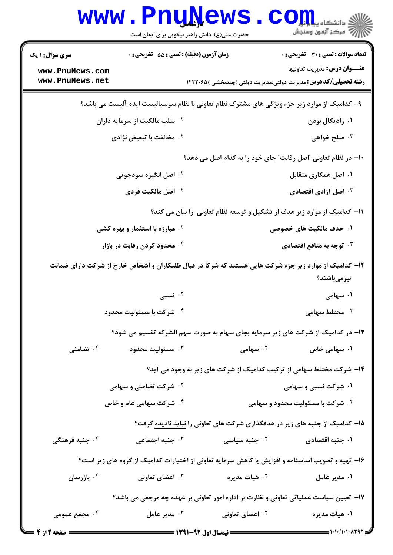|                                                                                                                      | <b>www.PnuNews</b><br>حضرت علی(ع): دانش راهبر نیکویی برای ایمان است             |                             | ر آمرڪز آزمون وسنڊش                                                                                                                                                                                                                                                                                                                                                                                                   |  |  |
|----------------------------------------------------------------------------------------------------------------------|---------------------------------------------------------------------------------|-----------------------------|-----------------------------------------------------------------------------------------------------------------------------------------------------------------------------------------------------------------------------------------------------------------------------------------------------------------------------------------------------------------------------------------------------------------------|--|--|
| <b>سری سوال : ۱ یک</b>                                                                                               | زمان آزمون (دقیقه) : تستی : 55 آتشریحی : 0                                      |                             | تعداد سوالات : تستي : 30 ٪ تشريحي : 0                                                                                                                                                                                                                                                                                                                                                                                 |  |  |
| www.PnuNews.com<br>www.PnuNews.net                                                                                   |                                                                                 |                             | <b>عنـــوان درس:</b> مديريت تعاونيها                                                                                                                                                                                                                                                                                                                                                                                  |  |  |
|                                                                                                                      |                                                                                 |                             | <b>رشته تحصیلی/کد درس:</b> مدیریت دولتی،مدیریت دولتی (چندبخشی )۱۲۲۲۰۶۵                                                                                                                                                                                                                                                                                                                                                |  |  |
|                                                                                                                      |                                                                                 |                             | ۹- کدامیک از موارد زیر جزء ویژگی های مشترک نظام تعاونی با نظام سوسیالیست ایده آلیست می باشد؟                                                                                                                                                                                                                                                                                                                          |  |  |
|                                                                                                                      | ۰۲ سلب مالکیت از سرمایه داران                                                   |                             | ۰۱ رادیکال بودن                                                                                                                                                                                                                                                                                                                                                                                                       |  |  |
|                                                                                                                      | ۰۴ مخالفت با تبعیض نژادی                                                        |                             | طلح خواهی $\cdot^{\mathsf{y}}$                                                                                                                                                                                                                                                                                                                                                                                        |  |  |
|                                                                                                                      |                                                                                 |                             | ۱۰– در نظام تعاونی آاصل رقابت" جای خود را به کدام اصل می دهد؟                                                                                                                                                                                                                                                                                                                                                         |  |  |
|                                                                                                                      | <b>1. اصل انگیزه سودجویی</b>                                                    |                             | ۰۱ اصل همکاری متقابل                                                                                                                                                                                                                                                                                                                                                                                                  |  |  |
|                                                                                                                      | ۰۴ اصل مالکیت فردی                                                              |                             | اصل آزادی اقتصادی $\cdot$ ۲                                                                                                                                                                                                                                                                                                                                                                                           |  |  |
| 11– کدامیک از موارد زیر هدف از تشکیل و توسعه نظام تعاونی را بیان می کند؟                                             |                                                                                 |                             |                                                                                                                                                                                                                                                                                                                                                                                                                       |  |  |
|                                                                                                                      | <sup>۲ .</sup> مبارزه با استثمار و بهره کشی                                     |                             | ۰۱ حذف مالکیت های خصوصی                                                                                                                                                                                                                                                                                                                                                                                               |  |  |
|                                                                                                                      | ۰۴ محدود کردن رقابت در بازار                                                    |                             | ۰ <sup>۳</sup> توجه به منافع اقتصادی                                                                                                                                                                                                                                                                                                                                                                                  |  |  |
| ۱۲- کدامیک از موارد زیر جزء شرکت هایی هستند که شرکا در قبال طلبکاران و اشخاص خارج از شرکت دارای ضمانت<br>نیزمیباشند؟ |                                                                                 |                             |                                                                                                                                                                                                                                                                                                                                                                                                                       |  |  |
|                                                                                                                      | ۰۲ نسبی $\cdot$                                                                 |                             | ۰۱ سهامی                                                                                                                                                                                                                                                                                                                                                                                                              |  |  |
|                                                                                                                      | ۰۴ شرکت با مسئولیت محدود                                                        |                             | ختلط سهامی $\cdot$                                                                                                                                                                                                                                                                                                                                                                                                    |  |  |
|                                                                                                                      | ۱۳- در کدامیک از شرکت های زیر سرمایه بجای سهام به صورت سهم الشرکه تقسیم می شود؟ |                             |                                                                                                                                                                                                                                                                                                                                                                                                                       |  |  |
| ۰۴ تضامنی                                                                                                            | مسئوليت محدود $\cdot^{\mathsf{r}}$                                              | <sup>۲.</sup> سهامی         | ۰۱ سهامی خاص                                                                                                                                                                                                                                                                                                                                                                                                          |  |  |
|                                                                                                                      |                                                                                 |                             | ۱۴- شرکت مختلط سهامی از ترکیب کدامیک از شرکت های زیر به وجود می آید؟                                                                                                                                                                                                                                                                                                                                                  |  |  |
|                                                                                                                      | <b>10 شرکت تضامنی و سهامی</b>                                                   |                             | ۰۱ شرکت نسبی و سهامی                                                                                                                                                                                                                                                                                                                                                                                                  |  |  |
|                                                                                                                      | <b>۴ ۰ شرکت سهامی عام و خاص</b>                                                 |                             | <b>۰۳ شرکت با مسئولیت محدود و سهامی</b>                                                                                                                                                                                                                                                                                                                                                                               |  |  |
|                                                                                                                      | ۱۵– کدامیک از جنبه های زیر در هدفگذاری شرکت های تعاونی را نباید نادیده گرفت؟    |                             |                                                                                                                                                                                                                                                                                                                                                                                                                       |  |  |
| ۰۴ جنبه فرهنگی                                                                                                       | ۰۳ جنبه اجتماعی                                                                 | ۰ <sup>۲</sup> جنبه سیاسی   | ۰۱ جنبه اقتصادی                                                                                                                                                                                                                                                                                                                                                                                                       |  |  |
| ۱۶- تهیه و تصویب اساسنامه و افزایش یا کاهش سرمایه تعاونی از اختیارات کدامیک از گروه های زیر است؟                     |                                                                                 |                             |                                                                                                                                                                                                                                                                                                                                                                                                                       |  |  |
| ۰۴ بازرسان                                                                                                           | اعضای تعاونی $\cdot$ "                                                          | ۰ <sup>۲</sup> هیات مدیره   | ۰۱ مدیر عامل                                                                                                                                                                                                                                                                                                                                                                                                          |  |  |
| ۱۷- تعیین سیاست عملیاتی تعاونی و نظارت بر اداره امور تعاونی بر عهده چه مرجعی می باشد؟                                |                                                                                 |                             |                                                                                                                                                                                                                                                                                                                                                                                                                       |  |  |
| ۰۴ مجمع عمومی                                                                                                        | مدير عامل $\cdot^{\mathsf{v}}$                                                  | ۰ <sup>۲</sup> اعضای تعاونی | ۰۱ هیات مدیره                                                                                                                                                                                                                                                                                                                                                                                                         |  |  |
| <b>= صفحه 2 از 4</b> =                                                                                               |                                                                                 |                             | $\frac{1}{1-\frac{1}{1-\frac{1}{1-\frac{1}{1-\frac{1}{1-\frac{1}{1-\frac{1}{1-\frac{1}{1-\frac{1}{1-\frac{1}{1-\frac{1}{1-\frac{1}{1-\frac{1}{1-\frac{1}{1-\frac{1}{1-\frac{1}{1-\frac{1}{1-\frac{1}{1-\frac{1}{1-\frac{1}{1-\frac{1}{1-\frac{1}{1-\frac{1}{1-\frac{1}{1-\frac{1}{1-\frac{1}{1-\frac{1}{1-\frac{1}{1-\frac{1}{1-\frac{1}{1-\frac{1}{1-\frac{1}{1-\frac{1}{1-\frac{1}{1-\frac{1}{1-\frac{1}{1-\frac{1$ |  |  |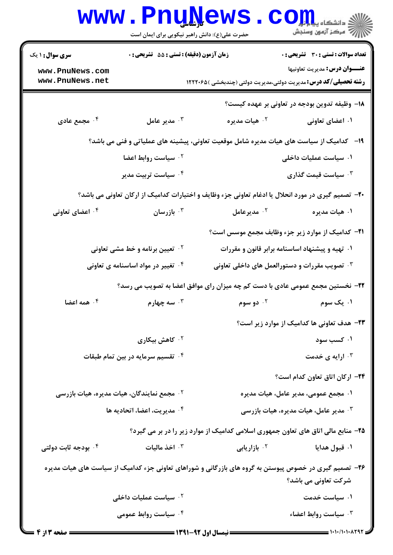|                                                                                                                                | www.PnuNews<br>حضرت علی(ع): دانش راهبر نیکویی برای ایمان است                              |                                                                                   | الارد دانشگاه پیام <mark>تور</mark><br>۱۳۱۸ مرکز آزمون وسنجش  |  |
|--------------------------------------------------------------------------------------------------------------------------------|-------------------------------------------------------------------------------------------|-----------------------------------------------------------------------------------|---------------------------------------------------------------|--|
| <b>سری سوال : ۱ یک</b>                                                                                                         | زمان آزمون (دقیقه) : تستی : 55 آتشریحی : 0                                                |                                                                                   | تعداد سوالات : تستي : 30 - تشريحي : 0                         |  |
| www.PnuNews.com<br>www.PnuNews.net                                                                                             |                                                                                           | <b>رشته تحصیلی/کد درس:</b> مدیریت دولتی،مدیریت دولتی (چندبخشی )۱۲۲۲۰۶۵            | عنـــوان درس: مديريت تعاونيها                                 |  |
|                                                                                                                                |                                                                                           |                                                                                   | 1۸– وظیفه تدوین بودجه در تعاونی بر عهده کیست؟                 |  |
| ۰۴ مجمع عادی                                                                                                                   | مدير عامل $\cdot^{\intercal}$                                                             | ۰۲ هیات مدیره                                                                     | ۰۱ اعضای تعاونی                                               |  |
|                                                                                                                                | ۱۹ - کدامیک از سیاست های هیات مدیره شامل موقعیت تعاونی، پیشینه های عملیاتی و فنی می باشد؟ |                                                                                   |                                                               |  |
|                                                                                                                                | ۰۱ سیاست عملیات داخلی<br><sup>۲</sup> ۰ سیاست روابط اعضا                                  |                                                                                   |                                                               |  |
|                                                                                                                                | ۰ <sup>۴</sup> سیاست تربیت مدیر                                                           |                                                                                   | ۰۳ سیاست قیمت گذاری                                           |  |
| +۲- تصمیم گیری در مورد انحلال یا ادغام تعاونی جزء وظایف و اختیارات کدامیک از ارکان تعاونی می باشد؟                             |                                                                                           |                                                                                   |                                                               |  |
| ۰۴ اعضای تعاونی                                                                                                                | ا بازرسان $\cdot$                                                                         | د مديرعامل $\cdot$ ۲                                                              | ۰۱ هیات مدیره                                                 |  |
|                                                                                                                                |                                                                                           |                                                                                   | <b>۳۱</b> - کدامیک از موارد زیر جزء وظابف مجمع موسس است؟      |  |
| <b>1. تعیین برنامه و خط مشی تعاونی</b>                                                                                         |                                                                                           |                                                                                   | ۰۱ تهیه و پیشنهاد اساسنامه برابر قانون و مقررات               |  |
| ۰ <sup>۴ ت</sup> غییر در مواد اساسنامه ی تعاونی                                                                                |                                                                                           | ۰ <sup>۳ ت</sup> صویب مقررات و دستورالعمل های داخلی تعاونی $\cdot$                |                                                               |  |
|                                                                                                                                | ۲۲- نخستین مجمع عمومی عادی با دست کم چه میزان رای موافق اعضا به تصویب می رسد؟             |                                                                                   |                                                               |  |
| همه اعضا $\cdot$ $^{\circ}$                                                                                                    | سه چهارم $\cdot$ ۳۰ $\cdot$                                                               | ۰۲ دو سوم                                                                         | ۰۱ یک سوم                                                     |  |
|                                                                                                                                |                                                                                           |                                                                                   | ۲۳- هدف تعاونی ها کدامیک از موارد زیر است؟                    |  |
|                                                                                                                                | ۰۲ کاهش بیکاری                                                                            |                                                                                   | ۰۱ کسب سود                                                    |  |
| ۰۴ تقسیم سرمایه در بین تمام طبقات                                                                                              |                                                                                           | ارایه ی خدمت $\cdot$                                                              |                                                               |  |
|                                                                                                                                |                                                                                           |                                                                                   | ٢۴- اركان اتاق تعاون كدام است؟                                |  |
|                                                                                                                                | ۰ <sup>۲</sup> مجمع نمایندگان، هیات مدیره، هیات بازرسی                                    | ۰۱ مجمع عمومی، مدیر عامل، هیات مدیره                                              |                                                               |  |
| ۰۴ مديريت، اعضا، اتحاديه ها                                                                                                    |                                                                                           |                                                                                   | ه مدیر عامل، هیات مدیره، هیات بازرسی $\cdot ^{\mathrm{\tau}}$ |  |
|                                                                                                                                |                                                                                           | ۲۵- منابع مالی اتاق های تعاون جمهوری اسلامی کدامیک از موارد زیر را در بر می گیرد؟ |                                                               |  |
| ۰۴ بودجه ثابت دولتی                                                                                                            | ۰۳ اخذ مالیات                                                                             | <sup>7.</sup> بازاریابی                                                           | ۰۱ قبول هدایا                                                 |  |
| ۲۶- تصمیم گیری در خصوص پیوستن به گروه های بازرگانی و شوراهای تعاونی جزء کدامیک از سیاست های هیات مدیره<br>شرکت تعاونی می باشد؟ |                                                                                           |                                                                                   |                                                               |  |
| ۰ <sup>۲</sup> سیاست عملیات داخلی                                                                                              |                                                                                           | ۰۱ سیاست خدمت                                                                     |                                                               |  |
|                                                                                                                                | ۰۴ سیاست روابط عمومی                                                                      |                                                                                   | ۰۳ سیاست روابط اعضاء                                          |  |
|                                                                                                                                |                                                                                           |                                                                                   | 1.1.11.1.1798                                                 |  |